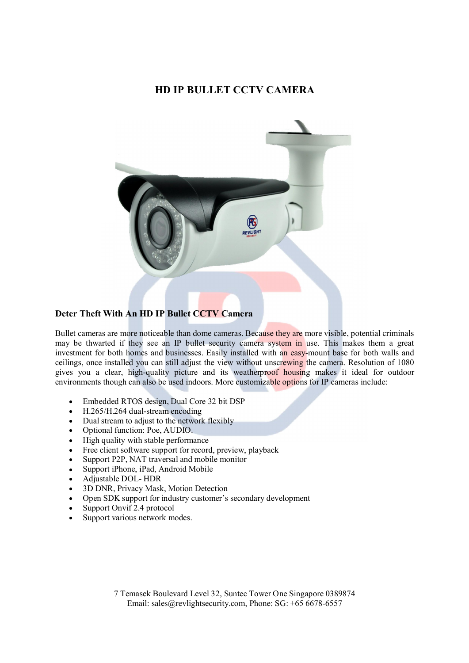# **HD IP BULLET CCTV CAMERA**



## **Deter Theft With An HD IP Bullet CCTV Camera**

Bullet cameras are more noticeable than dome cameras. Because they are more visible, potential criminals may be thwarted if they see an IP bullet security camera system in use. This makes them a great investment for both homes and businesses. Easily installed with an easy-mount base for both walls and ceilings, once installed you can still adjust the view without unscrewing the camera. Resolution of 1080 gives you a clear, high-quality picture and its weatherproof housing makes it ideal for outdoor environments though can also be used indoors. More customizable options for IP cameras include:

- Embedded RTOS design, Dual Core 32 bit DSP
- H.265/H.264 dual-stream encoding
- Dual stream to adjust to the network flexibly
- Optional function: Poe, AUDIO.
- High quality with stable performance
- Free client software support for record, preview, playback
- Support P2P, NAT traversal and mobile monitor
- Support iPhone, iPad, Android Mobile
- Adjustable DOL- HDR
- 3D DNR, Privacy Mask, Motion Detection
- Open SDK support for industry customer's secondary development
- Support Onvif 2.4 protocol
- Support various network modes.

7 Temasek Boulevard Level 32, Suntec Tower One Singapore 0389874 Email: sales@revlightsecurity.com, Phone: SG: +65 6678-6557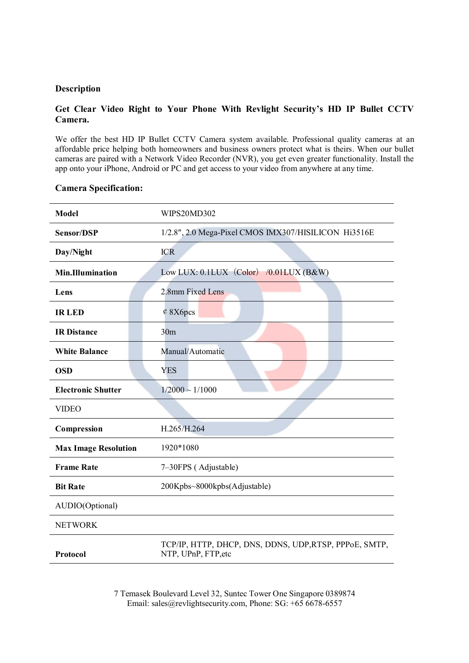#### **Description**

### **Get Clear Video Right to Your Phone With Revlight Security's HD IP Bullet CCTV Camera.**

We offer the best HD IP Bullet CCTV Camera system available. Professional quality cameras at an affordable price helping both homeowners and business owners protect what is theirs. When our bullet cameras are paired with a Network Video Recorder (NVR), you get even greater functionality. Install the app onto your iPhone, Android or PC and get access to your video from anywhere at any time.

#### **Camera Specification:**

| <b>Model</b>                | WIPS20MD302                                                                   |
|-----------------------------|-------------------------------------------------------------------------------|
| <b>Sensor/DSP</b>           | 1/2.8", 2.0 Mega-Pixel CMOS IMX307/HISILICON Hi3516E                          |
| Day/Night                   | <b>ICR</b>                                                                    |
| <b>Min.Illumination</b>     | Low LUX: 0.1LUX (Color) /0.01LUX (B&W)                                        |
| Lens                        | 2.8mm Fixed Lens                                                              |
| <b>IRLED</b>                | $&$ 8X6pcs                                                                    |
| <b>IR Distance</b>          | 30 <sub>m</sub>                                                               |
| <b>White Balance</b>        | Manual/Automatic                                                              |
| <b>OSD</b>                  | <b>YES</b>                                                                    |
| <b>Electronic Shutter</b>   | $1/2000 \sim 1/1000$                                                          |
| <b>VIDEO</b>                |                                                                               |
| Compression                 | H.265/H.264                                                                   |
| <b>Max Image Resolution</b> | 1920*1080                                                                     |
| <b>Frame Rate</b>           | 7-30FPS (Adjustable)                                                          |
| <b>Bit Rate</b>             | 200Kpbs~8000kpbs(Adjustable)                                                  |
| AUDIO(Optional)             |                                                                               |
| <b>NETWORK</b>              |                                                                               |
| Protocol                    | TCP/IP, HTTP, DHCP, DNS, DDNS, UDP, RTSP, PPPoE, SMTP,<br>NTP, UPnP, FTP, etc |

7 Temasek Boulevard Level 32, Suntec Tower One Singapore 0389874 Email: sales@revlightsecurity.com, Phone: SG: +65 6678-6557